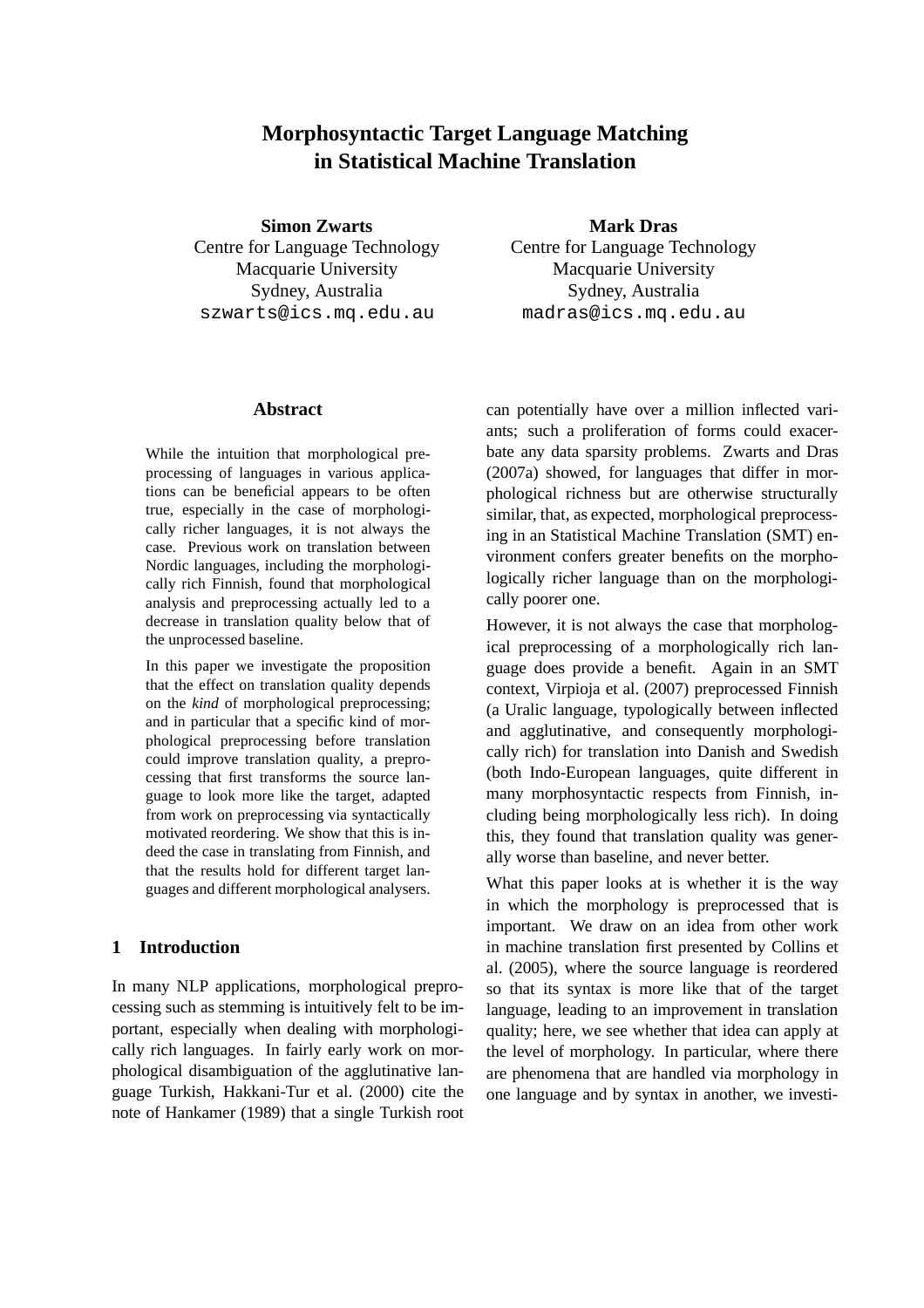# **Morphosyntactic Target Language Matching in Statistical Machine Translation**

**Simon Zwarts**

Centre for Language Technology Macquarie University Sydney, Australia szwarts@ics.mq.edu.au

### **Mark Dras**

Centre for Language Technology Macquarie University Sydney, Australia madras@ics.mq.edu.au

#### **Abstract**

While the intuition that morphological preprocessing of languages in various applications can be beneficial appears to be often true, especially in the case of morphologically richer languages, it is not always the case. Previous work on translation between Nordic languages, including the morphologically rich Finnish, found that morphological analysis and preprocessing actually led to a decrease in translation quality below that of the unprocessed baseline.

In this paper we investigate the proposition that the effect on translation quality depends on the *kind* of morphological preprocessing; and in particular that a specific kind of morphological preprocessing before translation could improve translation quality, a preprocessing that first transforms the source language to look more like the target, adapted from work on preprocessing via syntactically motivated reordering. We show that this is indeed the case in translating from Finnish, and that the results hold for different target languages and different morphological analysers.

### **1 Introduction**

In many NLP applications, morphological preprocessing such as stemming is intuitively felt to be important, especially when dealing with morphologically rich languages. In fairly early work on morphological disambiguation of the agglutinative language Turkish, Hakkani-Tur et al. (2000) cite the note of Hankamer (1989) that a single Turkish root can potentially have over a million inflected variants; such a proliferation of forms could exacerbate any data sparsity problems. Zwarts and Dras (2007a) showed, for languages that differ in morphological richness but are otherwise structurally similar, that, as expected, morphological preprocessing in an Statistical Machine Translation (SMT) environment confers greater benefits on the morphologically richer language than on the morphologically poorer one.

However, it is not always the case that morphological preprocessing of a morphologically rich language does provide a benefit. Again in an SMT context, Virpioja et al. (2007) preprocessed Finnish (a Uralic language, typologically between inflected and agglutinative, and consequently morphologically rich) for translation into Danish and Swedish (both Indo-European languages, quite different in many morphosyntactic respects from Finnish, including being morphologically less rich). In doing this, they found that translation quality was generally worse than baseline, and never better.

What this paper looks at is whether it is the way in which the morphology is preprocessed that is important. We draw on an idea from other work in machine translation first presented by Collins et al. (2005), where the source language is reordered so that its syntax is more like that of the target language, leading to an improvement in translation quality; here, we see whether that idea can apply at the level of morphology. In particular, where there are phenomena that are handled via morphology in one language and by syntax in another, we investi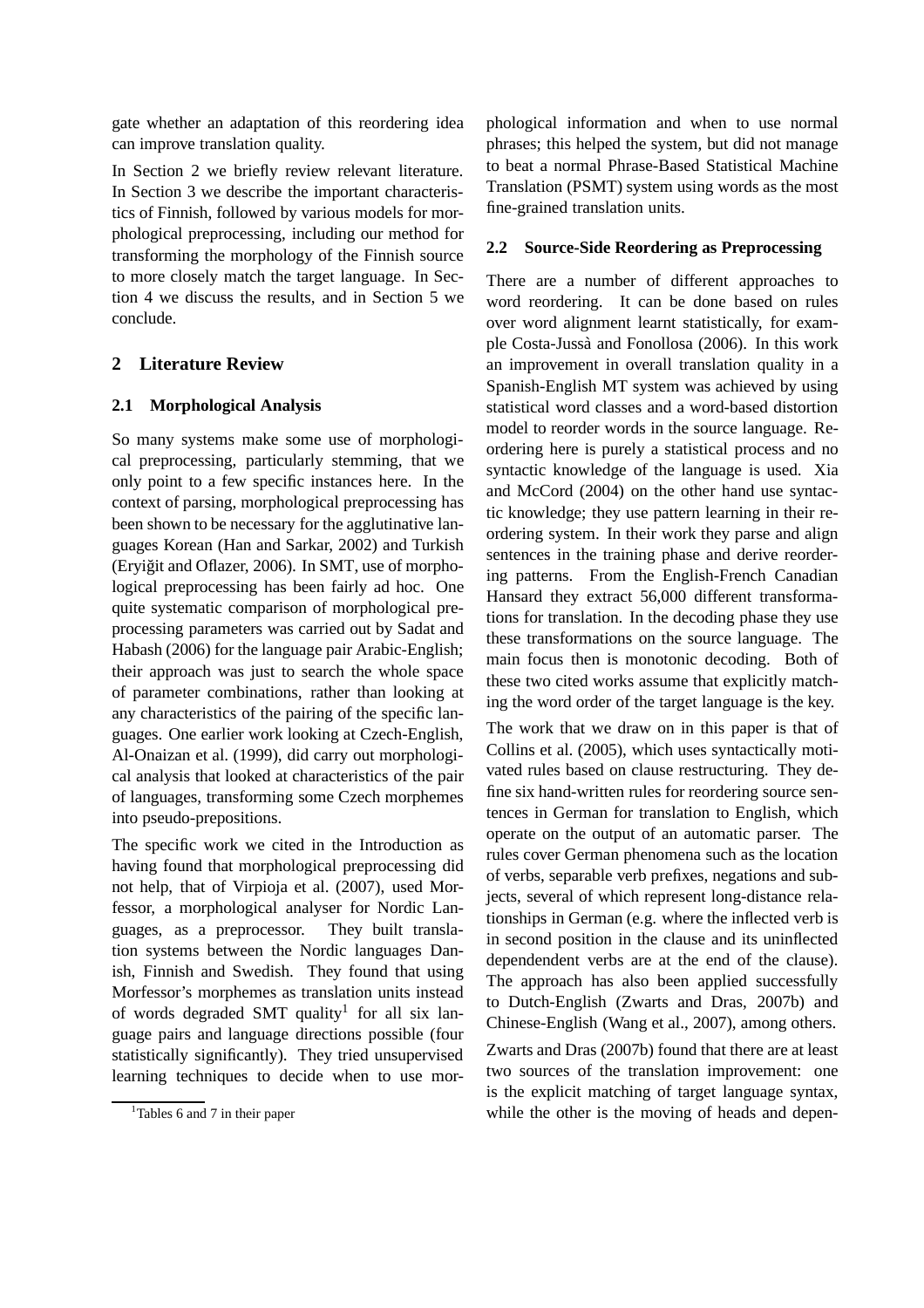gate whether an adaptation of this reordering idea can improve translation quality.

In Section 2 we briefly review relevant literature. In Section 3 we describe the important characteristics of Finnish, followed by various models for morphological preprocessing, including our method for transforming the morphology of the Finnish source to more closely match the target language. In Section 4 we discuss the results, and in Section 5 we conclude.

# **2 Literature Review**

### **2.1 Morphological Analysis**

So many systems make some use of morphological preprocessing, particularly stemming, that we only point to a few specific instances here. In the context of parsing, morphological preprocessing has been shown to be necessary for the agglutinative languages Korean (Han and Sarkar, 2002) and Turkish (Eryiğit and Oflazer, 2006). In SMT, use of morphological preprocessing has been fairly ad hoc. One quite systematic comparison of morphological preprocessing parameters was carried out by Sadat and Habash (2006) for the language pair Arabic-English; their approach was just to search the whole space of parameter combinations, rather than looking at any characteristics of the pairing of the specific languages. One earlier work looking at Czech-English, Al-Onaizan et al. (1999), did carry out morphological analysis that looked at characteristics of the pair of languages, transforming some Czech morphemes into pseudo-prepositions.

The specific work we cited in the Introduction as having found that morphological preprocessing did not help, that of Virpioja et al. (2007), used Morfessor, a morphological analyser for Nordic Languages, as a preprocessor. They built translation systems between the Nordic languages Danish, Finnish and Swedish. They found that using Morfessor's morphemes as translation units instead of words degraded SMT quality<sup>1</sup> for all six language pairs and language directions possible (four statistically significantly). They tried unsupervised learning techniques to decide when to use morphological information and when to use normal phrases; this helped the system, but did not manage to beat a normal Phrase-Based Statistical Machine Translation (PSMT) system using words as the most fine-grained translation units.

### **2.2 Source-Side Reordering as Preprocessing**

There are a number of different approaches to word reordering. It can be done based on rules over word alignment learnt statistically, for example Costa-Jussà and Fonollosa (2006). In this work an improvement in overall translation quality in a Spanish-English MT system was achieved by using statistical word classes and a word-based distortion model to reorder words in the source language. Reordering here is purely a statistical process and no syntactic knowledge of the language is used. Xia and McCord (2004) on the other hand use syntactic knowledge; they use pattern learning in their reordering system. In their work they parse and align sentences in the training phase and derive reordering patterns. From the English-French Canadian Hansard they extract 56,000 different transformations for translation. In the decoding phase they use these transformations on the source language. The main focus then is monotonic decoding. Both of these two cited works assume that explicitly matching the word order of the target language is the key.

The work that we draw on in this paper is that of Collins et al. (2005), which uses syntactically motivated rules based on clause restructuring. They define six hand-written rules for reordering source sentences in German for translation to English, which operate on the output of an automatic parser. The rules cover German phenomena such as the location of verbs, separable verb prefixes, negations and subjects, several of which represent long-distance relationships in German (e.g. where the inflected verb is in second position in the clause and its uninflected dependendent verbs are at the end of the clause). The approach has also been applied successfully to Dutch-English (Zwarts and Dras, 2007b) and Chinese-English (Wang et al., 2007), among others.

Zwarts and Dras (2007b) found that there are at least two sources of the translation improvement: one is the explicit matching of target language syntax, while the other is the moving of heads and depen-

 $<sup>1</sup>$ Tables 6 and 7 in their paper</sup>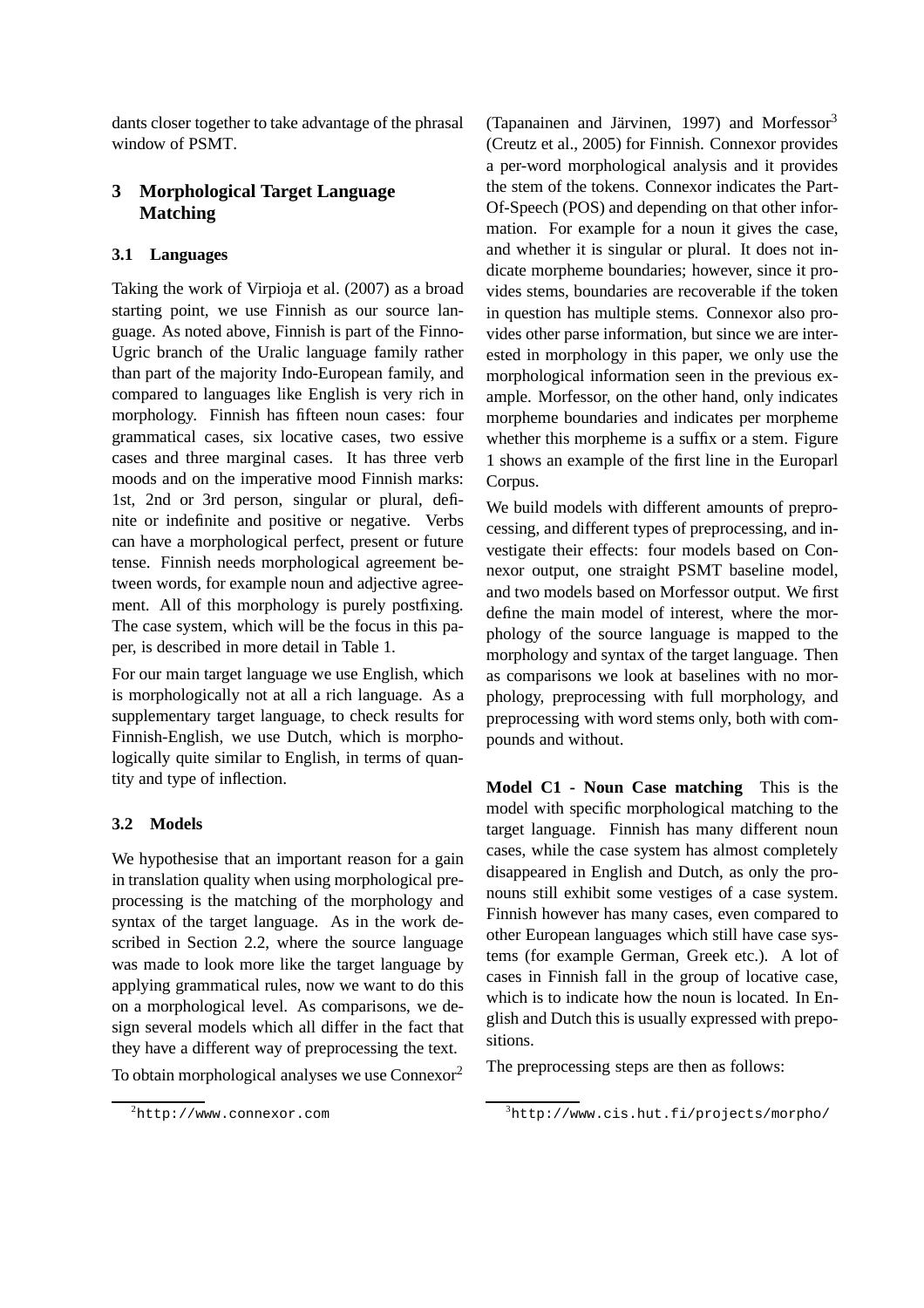dants closer together to take advantage of the phrasal window of PSMT.

# **3 Morphological Target Language Matching**

### **3.1 Languages**

Taking the work of Virpioja et al. (2007) as a broad starting point, we use Finnish as our source language. As noted above, Finnish is part of the Finno-Ugric branch of the Uralic language family rather than part of the majority Indo-European family, and compared to languages like English is very rich in morphology. Finnish has fifteen noun cases: four grammatical cases, six locative cases, two essive cases and three marginal cases. It has three verb moods and on the imperative mood Finnish marks: 1st, 2nd or 3rd person, singular or plural, definite or indefinite and positive or negative. Verbs can have a morphological perfect, present or future tense. Finnish needs morphological agreement between words, for example noun and adjective agreement. All of this morphology is purely postfixing. The case system, which will be the focus in this paper, is described in more detail in Table 1.

For our main target language we use English, which is morphologically not at all a rich language. As a supplementary target language, to check results for Finnish-English, we use Dutch, which is morphologically quite similar to English, in terms of quantity and type of inflection.

## **3.2 Models**

We hypothesise that an important reason for a gain in translation quality when using morphological preprocessing is the matching of the morphology and syntax of the target language. As in the work described in Section 2.2, where the source language was made to look more like the target language by applying grammatical rules, now we want to do this on a morphological level. As comparisons, we design several models which all differ in the fact that they have a different way of preprocessing the text.

To obtain morphological analyses we use Connexor<sup>2</sup>

(Tapanainen and Järvinen, 1997) and Morfessor $3$ (Creutz et al., 2005) for Finnish. Connexor provides a per-word morphological analysis and it provides the stem of the tokens. Connexor indicates the Part-Of-Speech (POS) and depending on that other information. For example for a noun it gives the case, and whether it is singular or plural. It does not indicate morpheme boundaries; however, since it provides stems, boundaries are recoverable if the token in question has multiple stems. Connexor also provides other parse information, but since we are interested in morphology in this paper, we only use the morphological information seen in the previous example. Morfessor, on the other hand, only indicates morpheme boundaries and indicates per morpheme whether this morpheme is a suffix or a stem. Figure 1 shows an example of the first line in the Europarl Corpus.

We build models with different amounts of preprocessing, and different types of preprocessing, and investigate their effects: four models based on Connexor output, one straight PSMT baseline model, and two models based on Morfessor output. We first define the main model of interest, where the morphology of the source language is mapped to the morphology and syntax of the target language. Then as comparisons we look at baselines with no morphology, preprocessing with full morphology, and preprocessing with word stems only, both with compounds and without.

**Model C1 - Noun Case matching** This is the model with specific morphological matching to the target language. Finnish has many different noun cases, while the case system has almost completely disappeared in English and Dutch, as only the pronouns still exhibit some vestiges of a case system. Finnish however has many cases, even compared to other European languages which still have case systems (for example German, Greek etc.). A lot of cases in Finnish fall in the group of locative case, which is to indicate how the noun is located. In English and Dutch this is usually expressed with prepositions.

The preprocessing steps are then as follows:

<sup>2</sup>http://www.connexor.com

<sup>3</sup>http://www.cis.hut.fi/projects/morpho/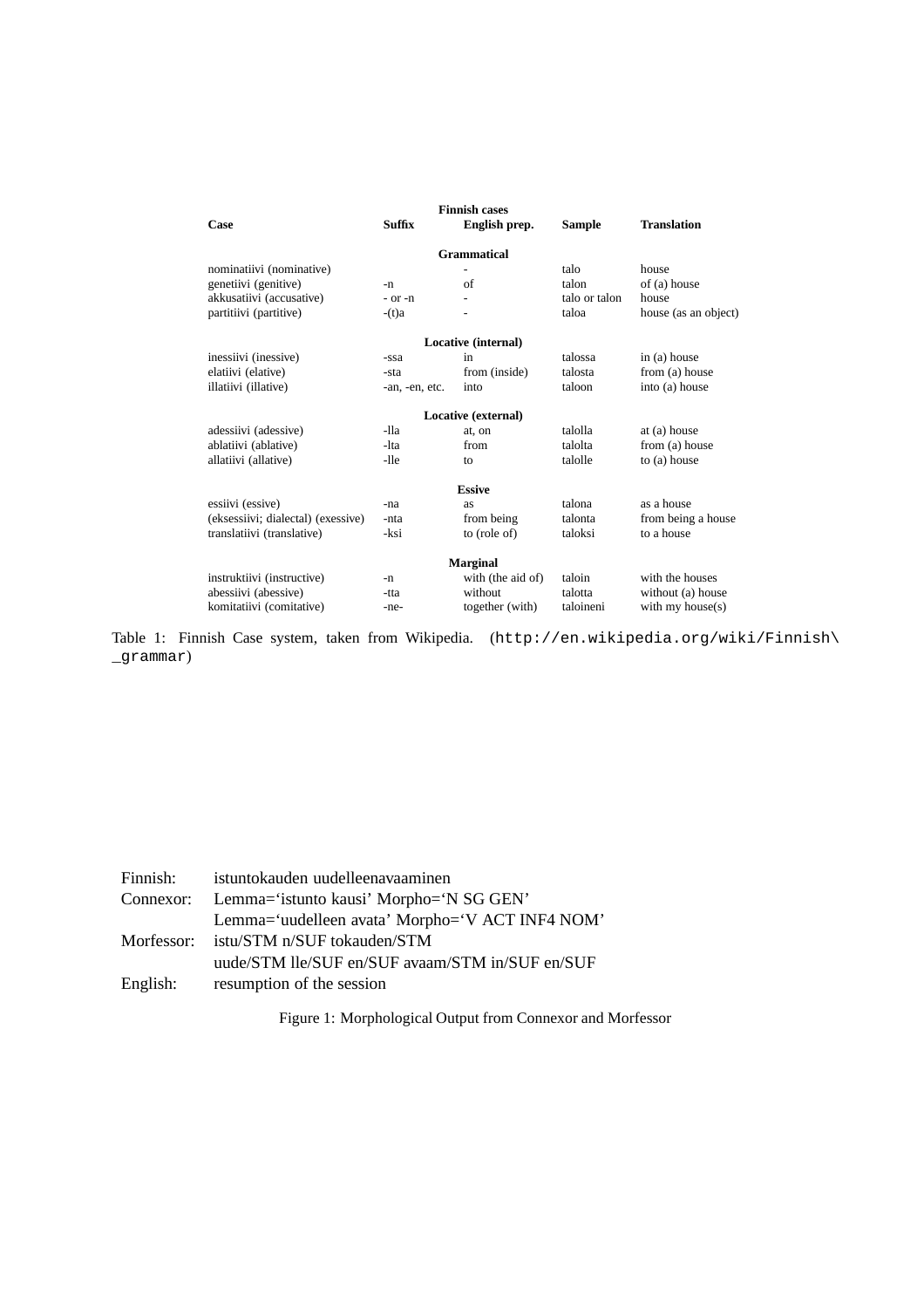| <b>Finnish cases</b>               |                     |                   |               |                      |  |  |  |
|------------------------------------|---------------------|-------------------|---------------|----------------------|--|--|--|
| Case                               | <b>Suffix</b>       | English prep.     | <b>Sample</b> | <b>Translation</b>   |  |  |  |
| <b>Grammatical</b>                 |                     |                   |               |                      |  |  |  |
| nominatiivi (nominative)           |                     |                   | talo          | house                |  |  |  |
| genetiivi (genitive)               | -n                  | of                | talon         | of (a) house         |  |  |  |
| akkusatiivi (accusative)           | $-$ or $-n$         | ٠                 | talo or talon | house                |  |  |  |
| partitiivi (partitive)             | $-(t)a$             |                   | taloa         | house (as an object) |  |  |  |
| Locative (internal)                |                     |                   |               |                      |  |  |  |
| inessiivi (inessive)               | -ssa                | in                | talossa       | in $(a)$ house       |  |  |  |
| elatiivi (elative)                 | -sta                | from (inside)     | talosta       | from (a) house       |  |  |  |
| illatiivi (illative)               | -an, -en, etc.      | into              | taloon        | into (a) house       |  |  |  |
|                                    | Locative (external) |                   |               |                      |  |  |  |
| adessiivi (adessive)               | $-11a$              | at, on            | talolla       | at (a) house         |  |  |  |
| ablatiivi (ablative)               | -lta                | from              | talolta       | from (a) house       |  |  |  |
| allatiivi (allative)               | -lle                | to                | talolle       | to (a) house         |  |  |  |
| <b>Essive</b>                      |                     |                   |               |                      |  |  |  |
| essiivi (essive)                   | -na                 | as                | talona        | as a house           |  |  |  |
| (eksessiivi; dialectal) (exessive) | -nta                | from being        | talonta       | from being a house   |  |  |  |
| translatiivi (translative)         | -ksi                | to (role of)      | taloksi       | to a house           |  |  |  |
| <b>Marginal</b>                    |                     |                   |               |                      |  |  |  |
| instruktiivi (instructive)         | -n                  | with (the aid of) | taloin        | with the houses      |  |  |  |
| abessiivi (abessive)               | -tta                | without           | talotta       | without (a) house    |  |  |  |
| komitatiivi (comitative)           | -ne-                | together (with)   | taloineni     | with my house $(s)$  |  |  |  |

Table 1: Finnish Case system, taken from Wikipedia. (http://en.wikipedia.org/wiki/Finnish\ \_grammar)

|          | Finnish: istuntokauden uudelleenavaaminen         |
|----------|---------------------------------------------------|
|          | Connexor: Lemma='istunto kausi' Morpho='N SG GEN' |
|          | Lemma='uudelleen avata' Morpho='V ACT INF4 NOM'   |
|          | Morfessor: istu/STM n/SUF tokauden/STM            |
|          | uude/STM lle/SUF en/SUF avaam/STM in/SUF en/SUF   |
| English: | resumption of the session                         |

Figure 1: Morphological Output from Connexor and Morfessor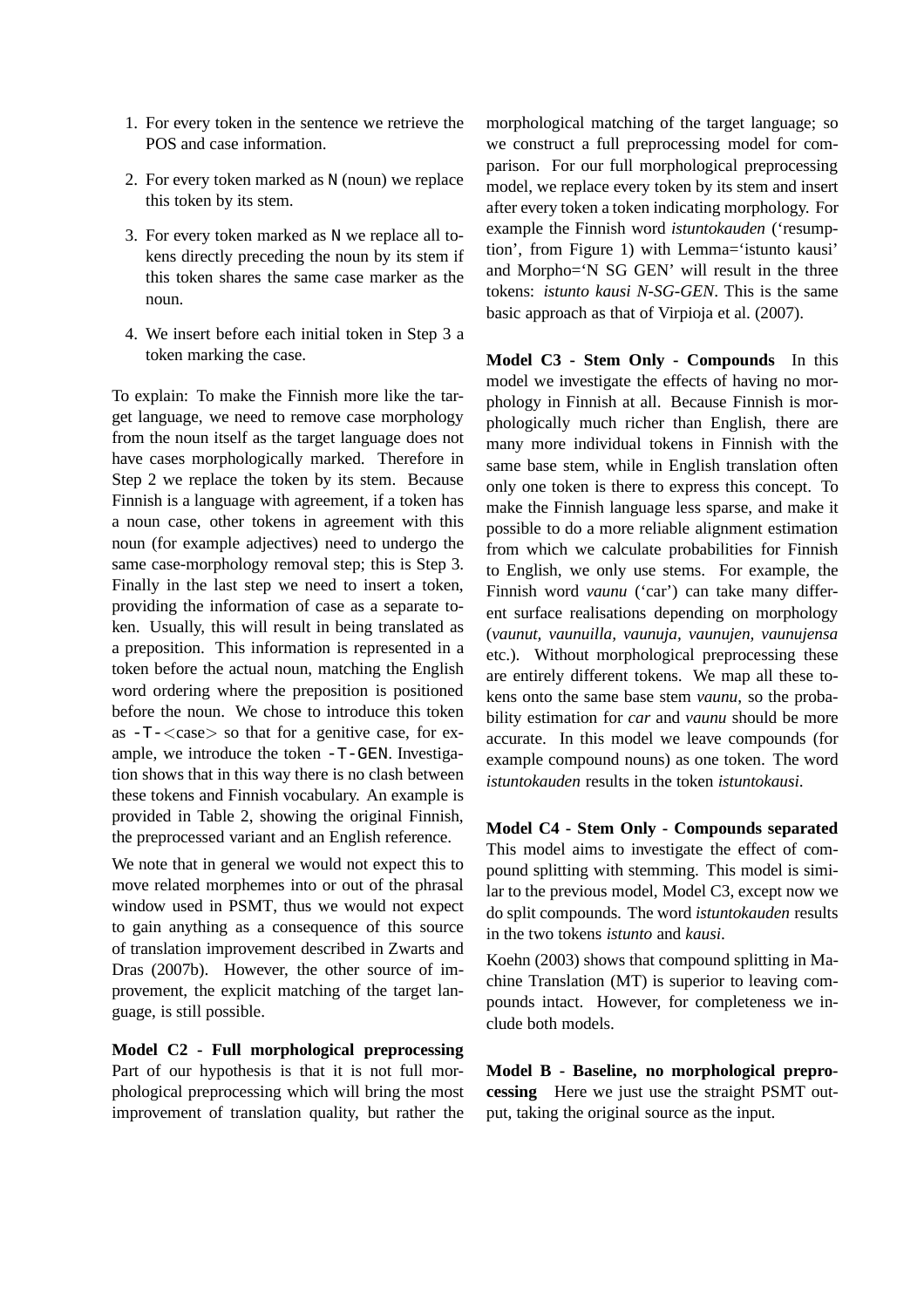- 1. For every token in the sentence we retrieve the POS and case information.
- 2. For every token marked as N (noun) we replace this token by its stem.
- 3. For every token marked as N we replace all tokens directly preceding the noun by its stem if this token shares the same case marker as the noun.
- 4. We insert before each initial token in Step 3 a token marking the case.

To explain: To make the Finnish more like the target language, we need to remove case morphology from the noun itself as the target language does not have cases morphologically marked. Therefore in Step 2 we replace the token by its stem. Because Finnish is a language with agreement, if a token has a noun case, other tokens in agreement with this noun (for example adjectives) need to undergo the same case-morphology removal step; this is Step 3. Finally in the last step we need to insert a token, providing the information of case as a separate token. Usually, this will result in being translated as a preposition. This information is represented in a token before the actual noun, matching the English word ordering where the preposition is positioned before the noun. We chose to introduce this token as  $-T$ - $\langle \text{case} \rangle$  so that for a genitive case, for example, we introduce the token -T-GEN. Investigation shows that in this way there is no clash between these tokens and Finnish vocabulary. An example is provided in Table 2, showing the original Finnish, the preprocessed variant and an English reference.

We note that in general we would not expect this to move related morphemes into or out of the phrasal window used in PSMT, thus we would not expect to gain anything as a consequence of this source of translation improvement described in Zwarts and Dras (2007b). However, the other source of improvement, the explicit matching of the target language, is still possible.

**Model C2 - Full morphological preprocessing** Part of our hypothesis is that it is not full morphological preprocessing which will bring the most improvement of translation quality, but rather the

morphological matching of the target language; so we construct a full preprocessing model for comparison. For our full morphological preprocessing model, we replace every token by its stem and insert after every token a token indicating morphology. For example the Finnish word *istuntokauden* ('resumption', from Figure 1) with Lemma='istunto kausi' and Morpho='N SG GEN' will result in the three tokens: *istunto kausi N-SG-GEN*. This is the same basic approach as that of Virpioja et al. (2007).

**Model C3 - Stem Only - Compounds** In this model we investigate the effects of having no morphology in Finnish at all. Because Finnish is morphologically much richer than English, there are many more individual tokens in Finnish with the same base stem, while in English translation often only one token is there to express this concept. To make the Finnish language less sparse, and make it possible to do a more reliable alignment estimation from which we calculate probabilities for Finnish to English, we only use stems. For example, the Finnish word *vaunu* ('car') can take many different surface realisations depending on morphology (*vaunut, vaunuilla, vaunuja, vaunujen, vaunujensa* etc.). Without morphological preprocessing these are entirely different tokens. We map all these tokens onto the same base stem *vaunu*, so the probability estimation for *car* and *vaunu* should be more accurate. In this model we leave compounds (for example compound nouns) as one token. The word *istuntokauden* results in the token *istuntokausi*.

**Model C4 - Stem Only - Compounds separated** This model aims to investigate the effect of compound splitting with stemming. This model is similar to the previous model, Model C3, except now we do split compounds. The word *istuntokauden* results in the two tokens *istunto* and *kausi*.

Koehn (2003) shows that compound splitting in Machine Translation (MT) is superior to leaving compounds intact. However, for completeness we include both models.

**Model B - Baseline, no morphological preprocessing** Here we just use the straight PSMT output, taking the original source as the input.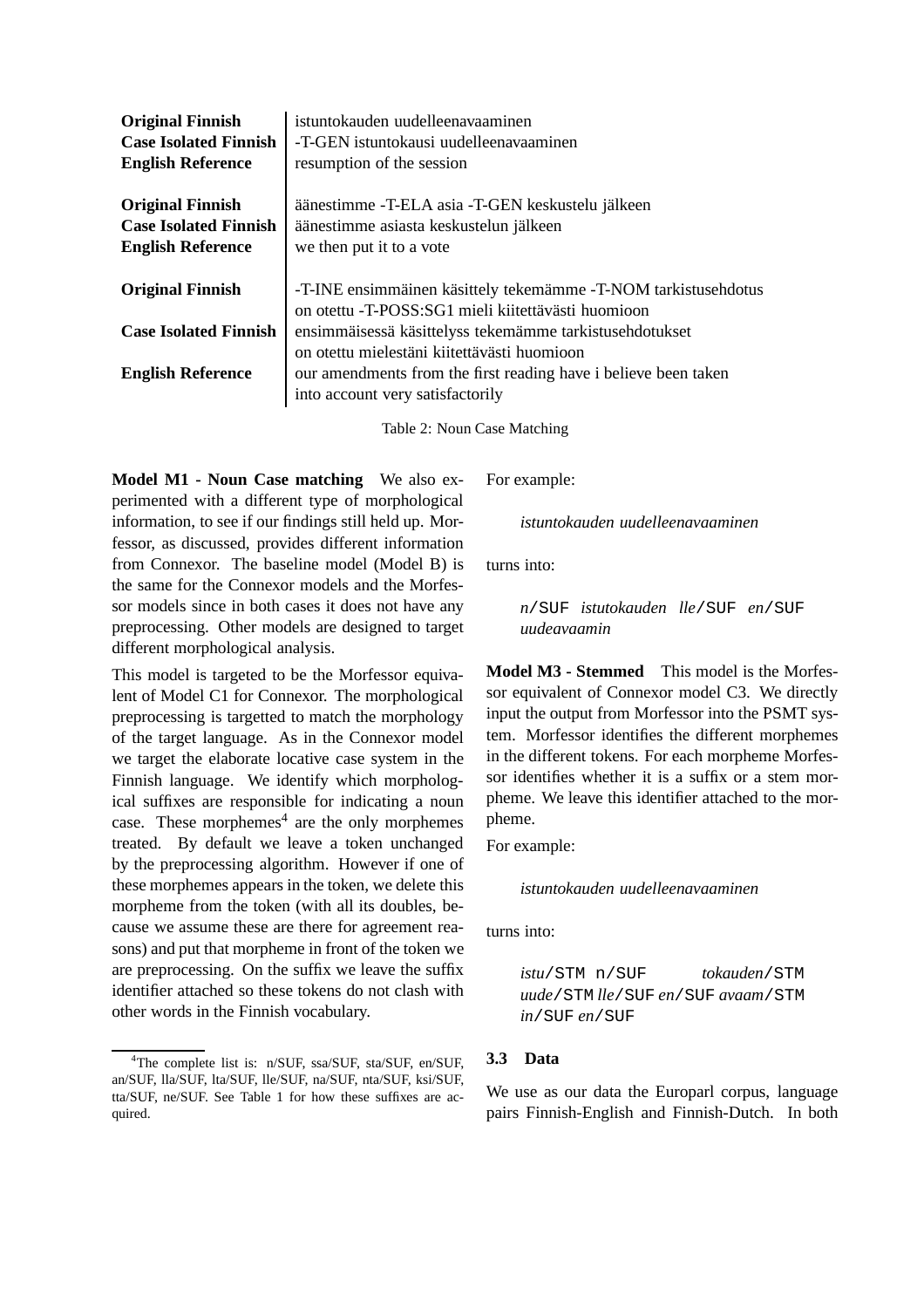| <b>Original Finnish</b>                                                             | istuntokauden uudelleenavaaminen                                                                                         |  |  |
|-------------------------------------------------------------------------------------|--------------------------------------------------------------------------------------------------------------------------|--|--|
| <b>Case Isolated Finnish</b>                                                        | -T-GEN istuntokausi uudelleenavaaminen                                                                                   |  |  |
| <b>English Reference</b>                                                            | resumption of the session                                                                                                |  |  |
| <b>Original Finnish</b><br><b>Case Isolated Finnish</b><br><b>English Reference</b> | äänestimme - T-ELA asia - T-GEN keskustelu jälkeen<br>äänestimme asiasta keskustelun jälkeen<br>we then put it to a vote |  |  |
| <b>Original Finnish</b>                                                             | -T-INE ensimmäinen käsittely tekemämme -T-NOM tarkistusehdotus                                                           |  |  |
|                                                                                     | on otettu -T-POSS:SG1 mieli kiitettävästi huomioon                                                                       |  |  |
| <b>Case Isolated Finnish</b>                                                        | ensimmäisessä käsittelyss tekemämme tarkistusehdotukset                                                                  |  |  |
|                                                                                     | on otettu mielestäni kiitettävästi huomioon                                                                              |  |  |
| <b>English Reference</b>                                                            | our amendments from the first reading have i believe been taken                                                          |  |  |
|                                                                                     | into account very satisfactorily                                                                                         |  |  |
|                                                                                     |                                                                                                                          |  |  |

Table 2: Noun Case Matching

**Model M1 - Noun Case matching** We also experimented with a different type of morphological information, to see if our findings still held up. Morfessor, as discussed, provides different information from Connexor. The baseline model (Model B) is the same for the Connexor models and the Morfessor models since in both cases it does not have any preprocessing. Other models are designed to target different morphological analysis.

This model is targeted to be the Morfessor equivalent of Model C1 for Connexor. The morphological preprocessing is targetted to match the morphology of the target language. As in the Connexor model we target the elaborate locative case system in the Finnish language. We identify which morphological suffixes are responsible for indicating a noun case. These morphemes $4$  are the only morphemes treated. By default we leave a token unchanged by the preprocessing algorithm. However if one of these morphemes appears in the token, we delete this morpheme from the token (with all its doubles, because we assume these are there for agreement reasons) and put that morpheme in front of the token we are preprocessing. On the suffix we leave the suffix identifier attached so these tokens do not clash with other words in the Finnish vocabulary.

For example:

*istuntokauden uudelleenavaaminen*

turns into:

*n*/SUF *istutokauden lle*/SUF *en*/SUF *uudeavaamin*

**Model M3 - Stemmed** This model is the Morfessor equivalent of Connexor model C3. We directly input the output from Morfessor into the PSMT system. Morfessor identifies the different morphemes in the different tokens. For each morpheme Morfessor identifies whether it is a suffix or a stem morpheme. We leave this identifier attached to the morpheme.

For example:

*istuntokauden uudelleenavaaminen*

turns into:

*istu*/STM n/SUF *tokauden*/STM *uude*/STM *lle*/SUF *en*/SUF *avaam*/STM *in*/SUF *en*/SUF

### **3.3 Data**

We use as our data the Europarl corpus, language pairs Finnish-English and Finnish-Dutch. In both

<sup>4</sup>The complete list is: n/SUF, ssa/SUF, sta/SUF, en/SUF, an/SUF, lla/SUF, lta/SUF, lle/SUF, na/SUF, nta/SUF, ksi/SUF, tta/SUF, ne/SUF. See Table 1 for how these suffixes are acquired.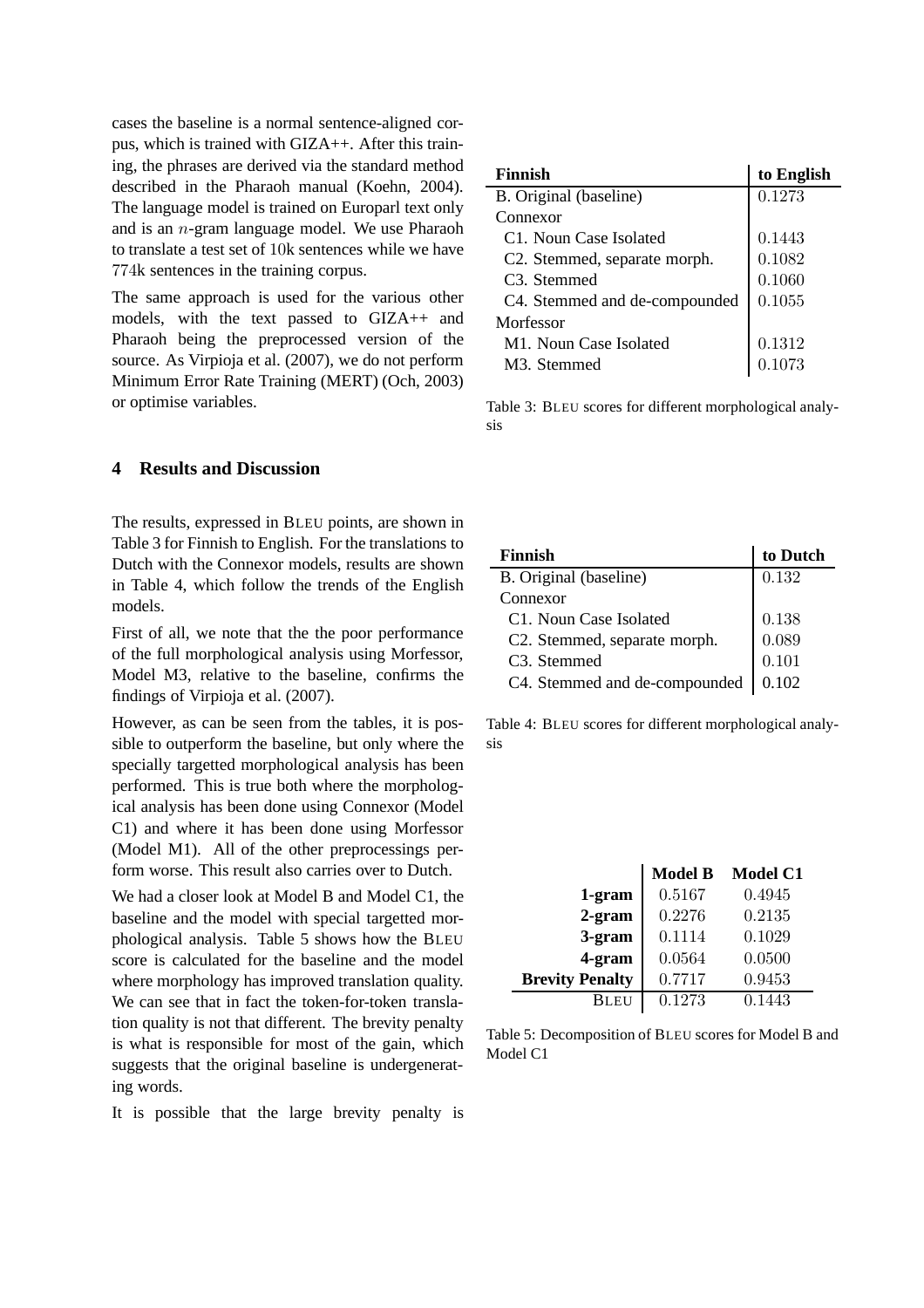cases the baseline is a normal sentence-aligned corpus, which is trained with GIZA++. After this training, the phrases are derived via the standard method described in the Pharaoh manual (Koehn, 2004). The language model is trained on Europarl text only and is an n-gram language model. We use Pharaoh to translate a test set of 10k sentences while we have 774k sentences in the training corpus.

The same approach is used for the various other models, with the text passed to GIZA++ and Pharaoh being the preprocessed version of the source. As Virpioja et al. (2007), we do not perform Minimum Error Rate Training (MERT) (Och, 2003) or optimise variables.

**4 Results and Discussion**

The results, expressed in BLEU points, are shown in Table 3 for Finnish to English. For the translations to Dutch with the Connexor models, results are shown in Table 4, which follow the trends of the English models.

First of all, we note that the the poor performance of the full morphological analysis using Morfessor, Model M3, relative to the baseline, confirms the findings of Virpioja et al. (2007).

However, as can be seen from the tables, it is possible to outperform the baseline, but only where the specially targetted morphological analysis has been performed. This is true both where the morphological analysis has been done using Connexor (Model C1) and where it has been done using Morfessor (Model M1). All of the other preprocessings perform worse. This result also carries over to Dutch.

We had a closer look at Model B and Model C1, the baseline and the model with special targetted morphological analysis. Table 5 shows how the BLEU score is calculated for the baseline and the model where morphology has improved translation quality. We can see that in fact the token-for-token translation quality is not that different. The brevity penalty is what is responsible for most of the gain, which suggests that the original baseline is undergenerating words.

It is possible that the large brevity penalty is

| Finnish                                   | to English |
|-------------------------------------------|------------|
| B. Original (baseline)                    | 0.1273     |
| Connexor                                  |            |
| C <sub>1</sub> . Noun Case Isolated       | 0.1443     |
| C <sub>2</sub> . Stemmed, separate morph. | 0.1082     |
| C <sub>3</sub> . Stemmed                  | 0.1060     |
| C4. Stemmed and de-compounded             | 0.1055     |
| Morfessor                                 |            |
| M1. Noun Case Isolated                    | 0.1312     |
| M <sub>3</sub> . Stemmed                  | 173        |

Table 3: BLEU scores for different morphological analysis

| <b>Finnish</b>                      | to Dutch |
|-------------------------------------|----------|
| B. Original (baseline)              | 0.132    |
| Connexor                            |          |
| C <sub>1</sub> . Noun Case Isolated | 0.138    |
| C2. Stemmed, separate morph.        | 0.089    |
| C <sub>3</sub> . Stemmed            | 0.101    |
| C4. Stemmed and de-compounded       | 0.102    |

Table 4: BLEU scores for different morphological analysis

|                        | <b>Model B</b> | <b>Model C1</b> |
|------------------------|----------------|-----------------|
| 1-gram                 | 0.5167         | 0.4945          |
| $2$ -gram              | 0.2276         | 0.2135          |
| 3-gram                 | 0.1114         | 0.1029          |
| 4-gram                 | 0.0564         | 0.0500          |
| <b>Brevity Penalty</b> | 0.7717         | 0.9453          |
| Bleu                   | 0.1273         | 0.1443          |

Table 5: Decomposition of BLEU scores for Model B and Model C1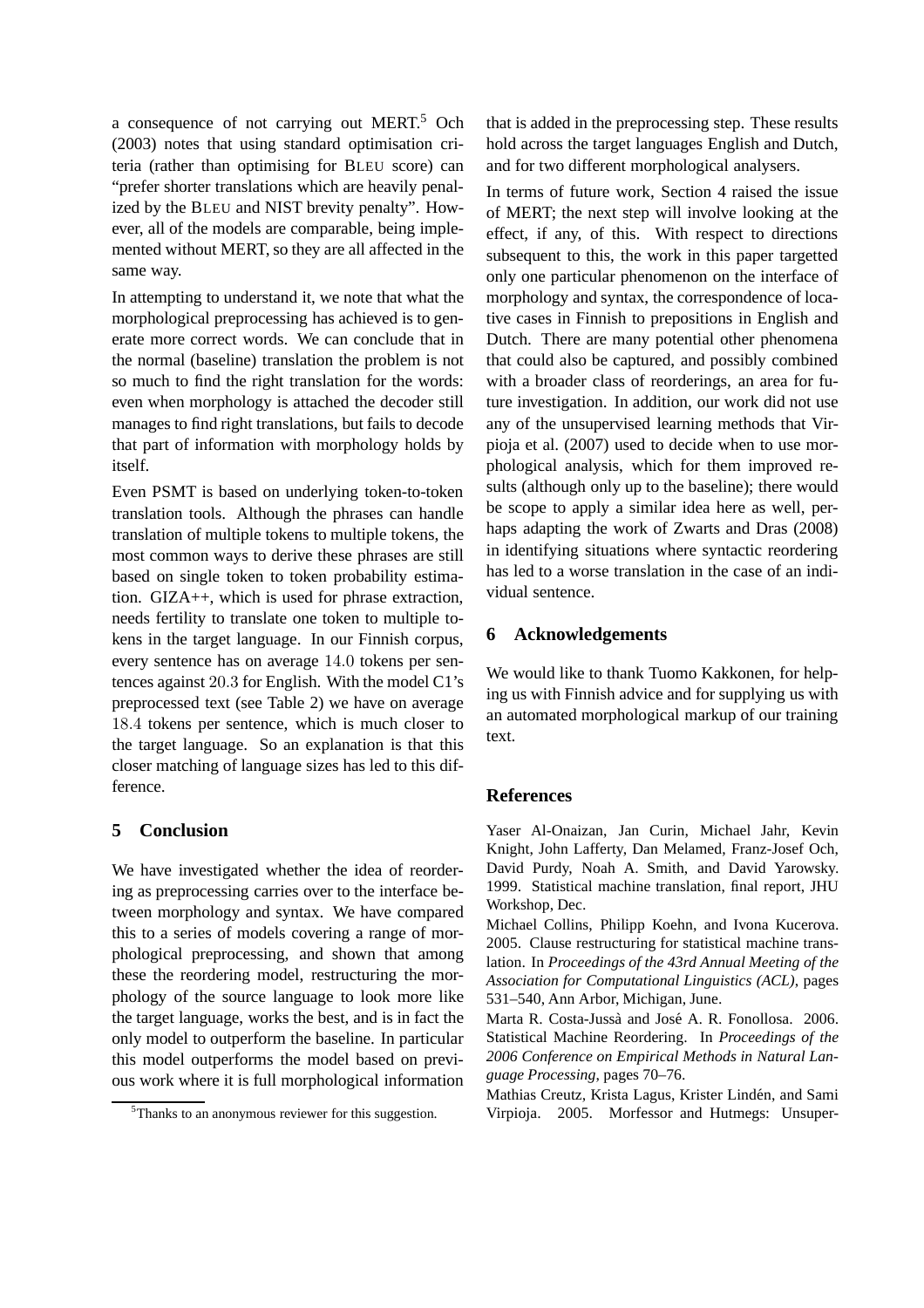a consequence of not carrying out MERT.<sup>5</sup> Och (2003) notes that using standard optimisation criteria (rather than optimising for BLEU score) can "prefer shorter translations which are heavily penalized by the BLEU and NIST brevity penalty". However, all of the models are comparable, being implemented without MERT, so they are all affected in the same way.

In attempting to understand it, we note that what the morphological preprocessing has achieved is to generate more correct words. We can conclude that in the normal (baseline) translation the problem is not so much to find the right translation for the words: even when morphology is attached the decoder still manages to find right translations, but fails to decode that part of information with morphology holds by itself.

Even PSMT is based on underlying token-to-token translation tools. Although the phrases can handle translation of multiple tokens to multiple tokens, the most common ways to derive these phrases are still based on single token to token probability estimation. GIZA++, which is used for phrase extraction, needs fertility to translate one token to multiple tokens in the target language. In our Finnish corpus, every sentence has on average 14.0 tokens per sentences against 20.3 for English. With the model C1's preprocessed text (see Table 2) we have on average 18.4 tokens per sentence, which is much closer to the target language. So an explanation is that this closer matching of language sizes has led to this difference.

### **5 Conclusion**

We have investigated whether the idea of reordering as preprocessing carries over to the interface between morphology and syntax. We have compared this to a series of models covering a range of morphological preprocessing, and shown that among these the reordering model, restructuring the morphology of the source language to look more like the target language, works the best, and is in fact the only model to outperform the baseline. In particular this model outperforms the model based on previous work where it is full morphological information

that is added in the preprocessing step. These results hold across the target languages English and Dutch, and for two different morphological analysers.

In terms of future work, Section 4 raised the issue of MERT; the next step will involve looking at the effect, if any, of this. With respect to directions subsequent to this, the work in this paper targetted only one particular phenomenon on the interface of morphology and syntax, the correspondence of locative cases in Finnish to prepositions in English and Dutch. There are many potential other phenomena that could also be captured, and possibly combined with a broader class of reorderings, an area for future investigation. In addition, our work did not use any of the unsupervised learning methods that Virpioja et al. (2007) used to decide when to use morphological analysis, which for them improved results (although only up to the baseline); there would be scope to apply a similar idea here as well, perhaps adapting the work of Zwarts and Dras (2008) in identifying situations where syntactic reordering has led to a worse translation in the case of an individual sentence.

#### **6 Acknowledgements**

We would like to thank Tuomo Kakkonen, for helping us with Finnish advice and for supplying us with an automated morphological markup of our training text.

#### **References**

Yaser Al-Onaizan, Jan Curin, Michael Jahr, Kevin Knight, John Lafferty, Dan Melamed, Franz-Josef Och, David Purdy, Noah A. Smith, and David Yarowsky. 1999. Statistical machine translation, final report, JHU Workshop, Dec.

Michael Collins, Philipp Koehn, and Ivona Kucerova. 2005. Clause restructuring for statistical machine translation. In *Proceedings of the 43rd Annual Meeting of the Association for Computational Linguistics (ACL)*, pages 531–540, Ann Arbor, Michigan, June.

Marta R. Costa-Jussà and José A. R. Fonollosa. 2006. Statistical Machine Reordering. In *Proceedings of the 2006 Conference on Empirical Methods in Natural Language Processing*, pages 70–76.

Mathias Creutz, Krista Lagus, Krister Lindén, and Sami Virpioja. 2005. Morfessor and Hutmegs: Unsuper-

<sup>&</sup>lt;sup>5</sup>Thanks to an anonymous reviewer for this suggestion.